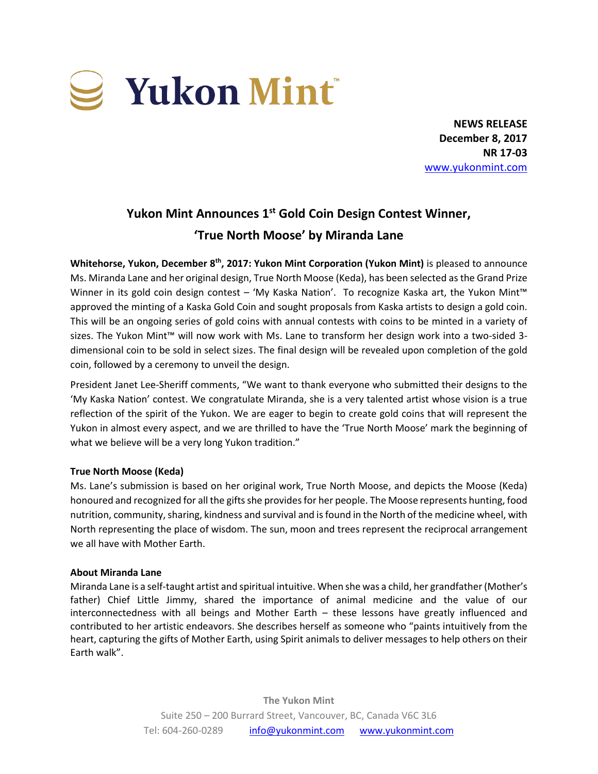

**NEWS RELEASE December 8, 2017 NR 17-03** [www.yukonmint.com](http://www.yukonmint.com/)

# **Yukon Mint Announces 1 st Gold Coin Design Contest Winner, 'True North Moose' by Miranda Lane**

Whitehorse, Yukon, December 8<sup>th</sup>, 2017: Yukon Mint Corporation (Yukon Mint) is pleased to announce Ms. Miranda Lane and her original design, True North Moose (Keda), has been selected as the Grand Prize Winner in its gold coin design contest – 'My Kaska Nation'. To recognize Kaska art, the Yukon Mint<sup>™</sup> approved the minting of a Kaska Gold Coin and sought proposals from Kaska artists to design a gold coin. This will be an ongoing series of gold coins with annual contests with coins to be minted in a variety of sizes. The Yukon Mint™ will now work with Ms. Lane to transform her design work into a two-sided 3 dimensional coin to be sold in select sizes. The final design will be revealed upon completion of the gold coin, followed by a ceremony to unveil the design.

President Janet Lee-Sheriff comments, "We want to thank everyone who submitted their designs to the 'My Kaska Nation' contest. We congratulate Miranda, she is a very talented artist whose vision is a true reflection of the spirit of the Yukon. We are eager to begin to create gold coins that will represent the Yukon in almost every aspect, and we are thrilled to have the 'True North Moose' mark the beginning of what we believe will be a very long Yukon tradition."

### **True North Moose (Keda)**

Ms. Lane's submission is based on her original work, True North Moose, and depicts the Moose (Keda) honoured and recognized for all the gifts she provides for her people. The Moose represents hunting, food nutrition, community, sharing, kindness and survival and is found in the North of the medicine wheel, with North representing the place of wisdom. The sun, moon and trees represent the reciprocal arrangement we all have with Mother Earth.

### **About Miranda Lane**

Miranda Lane is a self-taught artist and spiritual intuitive. When she was a child, her grandfather (Mother's father) Chief Little Jimmy, shared the importance of animal medicine and the value of our interconnectedness with all beings and Mother Earth – these lessons have greatly influenced and contributed to her artistic endeavors. She describes herself as someone who "paints intuitively from the heart, capturing the gifts of Mother Earth, using Spirit animals to deliver messages to help others on their Earth walk".